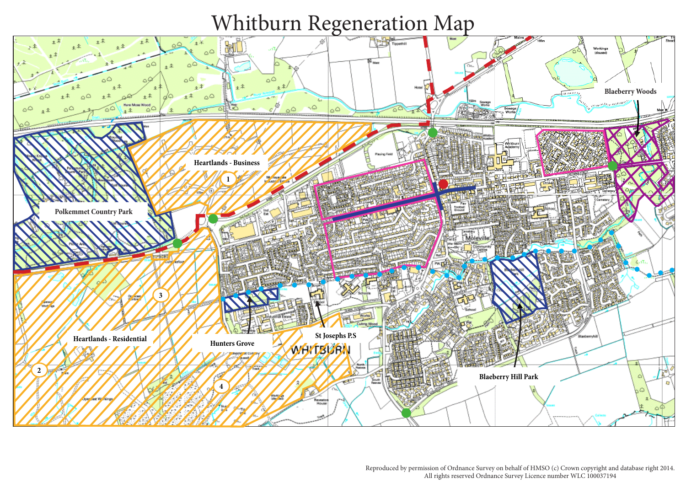Reproduced by permission of Ordnance Survey on behalf of HMSO (c) Crown copyright and database right 2014. All rights reserved Ordnance Survey Licence number WLC 100037194

# Whitburn Regeneration Map